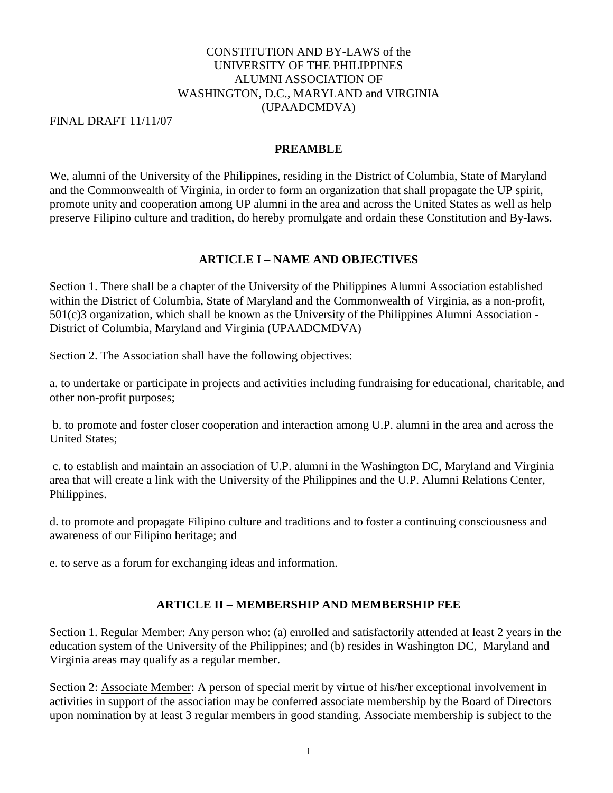### CONSTITUTION AND BY-LAWS of the UNIVERSITY OF THE PHILIPPINES ALUMNI ASSOCIATION OF WASHINGTON, D.C., MARYLAND and VIRGINIA (UPAADCMDVA)

FINAL DRAFT 11/11/07

#### **PREAMBLE**

We, alumni of the University of the Philippines, residing in the District of Columbia, State of Maryland and the Commonwealth of Virginia, in order to form an organization that shall propagate the UP spirit, promote unity and cooperation among UP alumni in the area and across the United States as well as help preserve Filipino culture and tradition, do hereby promulgate and ordain these Constitution and By-laws.

# **ARTICLE I – NAME AND OBJECTIVES**

Section 1. There shall be a chapter of the University of the Philippines Alumni Association established within the District of Columbia, State of Maryland and the Commonwealth of Virginia, as a non-profit, 501(c)3 organization, which shall be known as the University of the Philippines Alumni Association - District of Columbia, Maryland and Virginia (UPAADCMDVA)

Section 2. The Association shall have the following objectives:

a. to undertake or participate in projects and activities including fundraising for educational, charitable, and other non-profit purposes;

b. to promote and foster closer cooperation and interaction among U.P. alumni in the area and across the United States;

c. to establish and maintain an association of U.P. alumni in the Washington DC, Maryland and Virginia area that will create a link with the University of the Philippines and the U.P. Alumni Relations Center, Philippines.

d. to promote and propagate Filipino culture and traditions and to foster a continuing consciousness and awareness of our Filipino heritage; and

e. to serve as a forum for exchanging ideas and information.

### **ARTICLE II – MEMBERSHIP AND MEMBERSHIP FEE**

Section 1. Regular Member: Any person who: (a) enrolled and satisfactorily attended at least 2 years in the education system of the University of the Philippines; and (b) resides in Washington DC, Maryland and Virginia areas may qualify as a regular member.

Section 2: Associate Member: A person of special merit by virtue of his/her exceptional involvement in activities in support of the association may be conferred associate membership by the Board of Directors upon nomination by at least 3 regular members in good standing. Associate membership is subject to the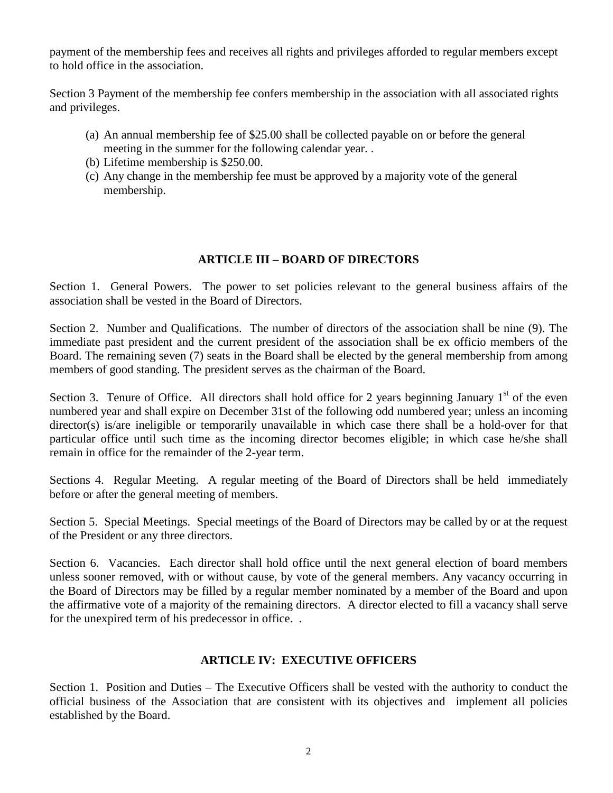payment of the membership fees and receives all rights and privileges afforded to regular members except to hold office in the association.

Section 3 Payment of the membership fee confers membership in the association with all associated rights and privileges.

- (a) An annual membership fee of \$25.00 shall be collected payable on or before the general meeting in the summer for the following calendar year. .
- (b) Lifetime membership is \$250.00.
- (c) Any change in the membership fee must be approved by a majority vote of the general membership.

# **ARTICLE III – BOARD OF DIRECTORS**

Section 1. General Powers. The power to set policies relevant to the general business affairs of the association shall be vested in the Board of Directors.

Section 2. Number and Qualifications. The number of directors of the association shall be nine (9). The immediate past president and the current president of the association shall be ex officio members of the Board. The remaining seven (7) seats in the Board shall be elected by the general membership from among members of good standing. The president serves as the chairman of the Board.

Section 3. Tenure of Office. All directors shall hold office for 2 years beginning January  $1<sup>st</sup>$  of the even numbered year and shall expire on December 31st of the following odd numbered year; unless an incoming director(s) is/are ineligible or temporarily unavailable in which case there shall be a hold-over for that particular office until such time as the incoming director becomes eligible; in which case he/she shall remain in office for the remainder of the 2-year term.

Sections 4. Regular Meeting. A regular meeting of the Board of Directors shall be held immediately before or after the general meeting of members.

Section 5. Special Meetings. Special meetings of the Board of Directors may be called by or at the request of the President or any three directors.

Section 6. Vacancies. Each director shall hold office until the next general election of board members unless sooner removed, with or without cause, by vote of the general members. Any vacancy occurring in the Board of Directors may be filled by a regular member nominated by a member of the Board and upon the affirmative vote of a majority of the remaining directors. A director elected to fill a vacancy shall serve for the unexpired term of his predecessor in office. .

### **ARTICLE IV: EXECUTIVE OFFICERS**

Section 1. Position and Duties – The Executive Officers shall be vested with the authority to conduct the official business of the Association that are consistent with its objectives and implement all policies established by the Board.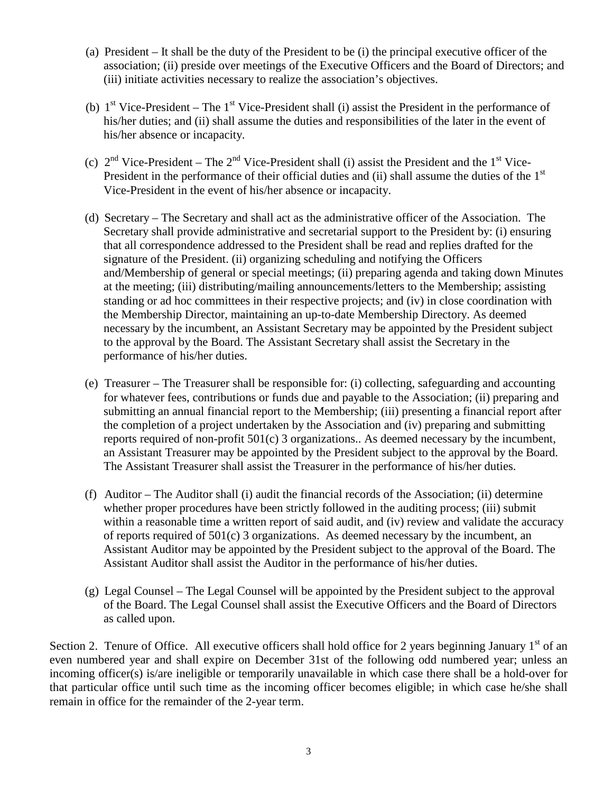- (a) President It shall be the duty of the President to be (i) the principal executive officer of the association; (ii) preside over meetings of the Executive Officers and the Board of Directors; and (iii) initiate activities necessary to realize the association's objectives.
- (b)  $1<sup>st</sup> Vice-President The 1<sup>st</sup> Vice-President shall (i) assist the President in the performance of$ his/her duties; and (ii) shall assume the duties and responsibilities of the later in the event of his/her absence or incapacity.
- (c)  $2<sup>nd</sup> Vice-President The 2<sup>nd</sup> Vice-President shall (i) assist the President and the 1<sup>st</sup> Vice-$ President in the performance of their official duties and (ii) shall assume the duties of the  $1<sup>st</sup>$ Vice-President in the event of his/her absence or incapacity.
- (d) Secretary The Secretary and shall act as the administrative officer of the Association. The Secretary shall provide administrative and secretarial support to the President by: (i) ensuring that all correspondence addressed to the President shall be read and replies drafted for the signature of the President. (ii) organizing scheduling and notifying the Officers and/Membership of general or special meetings; (ii) preparing agenda and taking down Minutes at the meeting; (iii) distributing/mailing announcements/letters to the Membership; assisting standing or ad hoc committees in their respective projects; and (iv) in close coordination with the Membership Director, maintaining an up-to-date Membership Directory. As deemed necessary by the incumbent, an Assistant Secretary may be appointed by the President subject to the approval by the Board. The Assistant Secretary shall assist the Secretary in the performance of his/her duties.
- (e) Treasurer The Treasurer shall be responsible for: (i) collecting, safeguarding and accounting for whatever fees, contributions or funds due and payable to the Association; (ii) preparing and submitting an annual financial report to the Membership; (iii) presenting a financial report after the completion of a project undertaken by the Association and (iv) preparing and submitting reports required of non-profit 501(c) 3 organizations.. As deemed necessary by the incumbent, an Assistant Treasurer may be appointed by the President subject to the approval by the Board. The Assistant Treasurer shall assist the Treasurer in the performance of his/her duties.
- (f) Auditor The Auditor shall (i) audit the financial records of the Association; (ii) determine whether proper procedures have been strictly followed in the auditing process; (iii) submit within a reasonable time a written report of said audit, and (iv) review and validate the accuracy of reports required of 501(c) 3 organizations. As deemed necessary by the incumbent, an Assistant Auditor may be appointed by the President subject to the approval of the Board. The Assistant Auditor shall assist the Auditor in the performance of his/her duties.
- (g) Legal Counsel The Legal Counsel will be appointed by the President subject to the approval of the Board. The Legal Counsel shall assist the Executive Officers and the Board of Directors as called upon.

Section 2. Tenure of Office. All executive officers shall hold office for 2 years beginning January  $1<sup>st</sup>$  of an even numbered year and shall expire on December 31st of the following odd numbered year; unless an incoming officer(s) is/are ineligible or temporarily unavailable in which case there shall be a hold-over for that particular office until such time as the incoming officer becomes eligible; in which case he/she shall remain in office for the remainder of the 2-year term.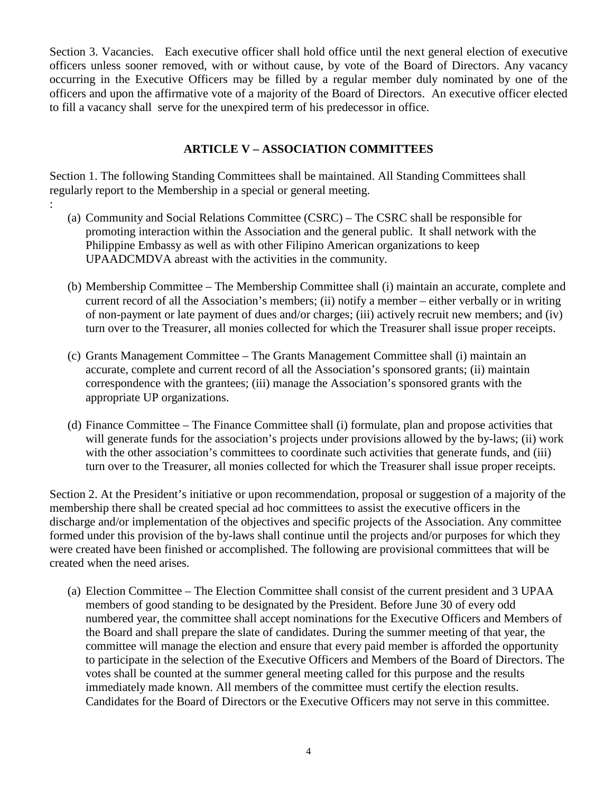Section 3. Vacancies. Each executive officer shall hold office until the next general election of executive officers unless sooner removed, with or without cause, by vote of the Board of Directors. Any vacancy occurring in the Executive Officers may be filled by a regular member duly nominated by one of the officers and upon the affirmative vote of a majority of the Board of Directors. An executive officer elected to fill a vacancy shall serve for the unexpired term of his predecessor in office.

### **ARTICLE V – ASSOCIATION COMMITTEES**

Section 1. The following Standing Committees shall be maintained. All Standing Committees shall regularly report to the Membership in a special or general meeting.

:

- (a) Community and Social Relations Committee (CSRC) The CSRC shall be responsible for promoting interaction within the Association and the general public. It shall network with the Philippine Embassy as well as with other Filipino American organizations to keep UPAADCMDVA abreast with the activities in the community.
- (b) Membership Committee The Membership Committee shall (i) maintain an accurate, complete and current record of all the Association's members; (ii) notify a member – either verbally or in writing of non-payment or late payment of dues and/or charges; (iii) actively recruit new members; and (iv) turn over to the Treasurer, all monies collected for which the Treasurer shall issue proper receipts.
- (c) Grants Management Committee The Grants Management Committee shall (i) maintain an accurate, complete and current record of all the Association's sponsored grants; (ii) maintain correspondence with the grantees; (iii) manage the Association's sponsored grants with the appropriate UP organizations.
- (d) Finance Committee The Finance Committee shall (i) formulate, plan and propose activities that will generate funds for the association's projects under provisions allowed by the by-laws; (ii) work with the other association's committees to coordinate such activities that generate funds, and (iii) turn over to the Treasurer, all monies collected for which the Treasurer shall issue proper receipts.

Section 2. At the President's initiative or upon recommendation, proposal or suggestion of a majority of the membership there shall be created special ad hoc committees to assist the executive officers in the discharge and/or implementation of the objectives and specific projects of the Association. Any committee formed under this provision of the by-laws shall continue until the projects and/or purposes for which they were created have been finished or accomplished. The following are provisional committees that will be created when the need arises.

(a) Election Committee – The Election Committee shall consist of the current president and 3 UPAA members of good standing to be designated by the President. Before June 30 of every odd numbered year, the committee shall accept nominations for the Executive Officers and Members of the Board and shall prepare the slate of candidates. During the summer meeting of that year, the committee will manage the election and ensure that every paid member is afforded the opportunity to participate in the selection of the Executive Officers and Members of the Board of Directors. The votes shall be counted at the summer general meeting called for this purpose and the results immediately made known. All members of the committee must certify the election results. Candidates for the Board of Directors or the Executive Officers may not serve in this committee.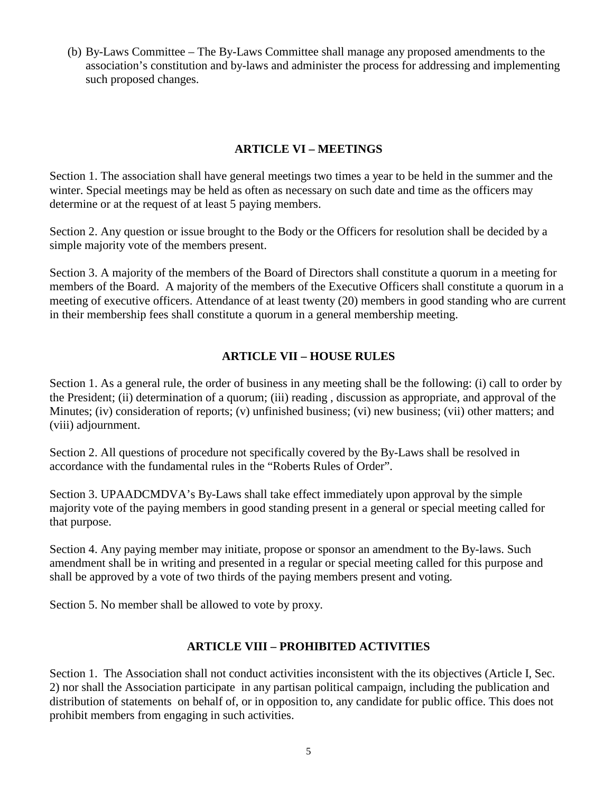(b) By-Laws Committee – The By-Laws Committee shall manage any proposed amendments to the association's constitution and by-laws and administer the process for addressing and implementing such proposed changes.

## **ARTICLE VI – MEETINGS**

Section 1. The association shall have general meetings two times a year to be held in the summer and the winter. Special meetings may be held as often as necessary on such date and time as the officers may determine or at the request of at least 5 paying members.

Section 2. Any question or issue brought to the Body or the Officers for resolution shall be decided by a simple majority vote of the members present.

Section 3. A majority of the members of the Board of Directors shall constitute a quorum in a meeting for members of the Board. A majority of the members of the Executive Officers shall constitute a quorum in a meeting of executive officers. Attendance of at least twenty (20) members in good standing who are current in their membership fees shall constitute a quorum in a general membership meeting.

# **ARTICLE VII – HOUSE RULES**

Section 1. As a general rule, the order of business in any meeting shall be the following: (i) call to order by the President; (ii) determination of a quorum; (iii) reading , discussion as appropriate, and approval of the Minutes; (iv) consideration of reports; (v) unfinished business; (vi) new business; (vii) other matters; and (viii) adjournment.

Section 2. All questions of procedure not specifically covered by the By-Laws shall be resolved in accordance with the fundamental rules in the "Roberts Rules of Order".

Section 3. UPAADCMDVA's By-Laws shall take effect immediately upon approval by the simple majority vote of the paying members in good standing present in a general or special meeting called for that purpose.

Section 4. Any paying member may initiate, propose or sponsor an amendment to the By-laws. Such amendment shall be in writing and presented in a regular or special meeting called for this purpose and shall be approved by a vote of two thirds of the paying members present and voting.

Section 5. No member shall be allowed to vote by proxy.

### **ARTICLE VIII – PROHIBITED ACTIVITIES**

Section 1. The Association shall not conduct activities inconsistent with the its objectives (Article I, Sec. 2) nor shall the Association participate in any partisan political campaign, including the publication and distribution of statements on behalf of, or in opposition to, any candidate for public office. This does not prohibit members from engaging in such activities.